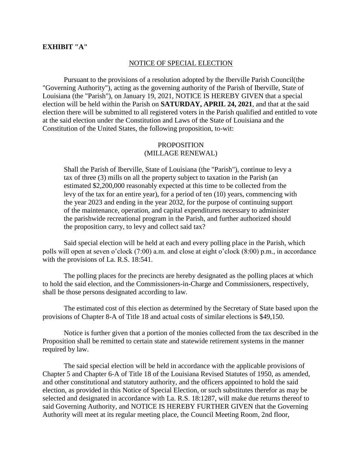## **EXHIBIT "A"**

## NOTICE OF SPECIAL ELECTION

Pursuant to the provisions of a resolution adopted by the Iberville Parish Council(the "Governing Authority"), acting as the governing authority of the Parish of Iberville, State of Louisiana (the "Parish"), on January 19, 2021, NOTICE IS HEREBY GIVEN that a special election will be held within the Parish on **SATURDAY, APRIL 24, 2021**, and that at the said election there will be submitted to all registered voters in the Parish qualified and entitled to vote at the said election under the Constitution and Laws of the State of Louisiana and the Constitution of the United States, the following proposition, to-wit:

## PROPOSITION (MILLAGE RENEWAL)

Shall the Parish of Iberville, State of Louisiana (the "Parish"), continue to levy a tax of three (3) mills on all the property subject to taxation in the Parish (an estimated \$2,200,000 reasonably expected at this time to be collected from the levy of the tax for an entire year), for a period of ten (10) years, commencing with the year 2023 and ending in the year 2032, for the purpose of continuing support of the maintenance, operation, and capital expenditures necessary to administer the parishwide recreational program in the Parish, and further authorized should the proposition carry, to levy and collect said tax?

Said special election will be held at each and every polling place in the Parish, which polls will open at seven o'clock (7:00) a.m. and close at eight o'clock (8:00) p.m., in accordance with the provisions of La. R.S. 18:541.

The polling places for the precincts are hereby designated as the polling places at which to hold the said election, and the Commissioners-in-Charge and Commissioners, respectively, shall be those persons designated according to law.

The estimated cost of this election as determined by the Secretary of State based upon the provisions of Chapter 8-A of Title 18 and actual costs of similar elections is \$49,150.

Notice is further given that a portion of the monies collected from the tax described in the Proposition shall be remitted to certain state and statewide retirement systems in the manner required by law.

The said special election will be held in accordance with the applicable provisions of Chapter 5 and Chapter 6-A of Title 18 of the Louisiana Revised Statutes of 1950, as amended, and other constitutional and statutory authority, and the officers appointed to hold the said election, as provided in this Notice of Special Election, or such substitutes therefor as may be selected and designated in accordance with La. R.S. 18:1287, will make due returns thereof to said Governing Authority, and NOTICE IS HEREBY FURTHER GIVEN that the Governing Authority will meet at its regular meeting place, the Council Meeting Room, 2nd floor,